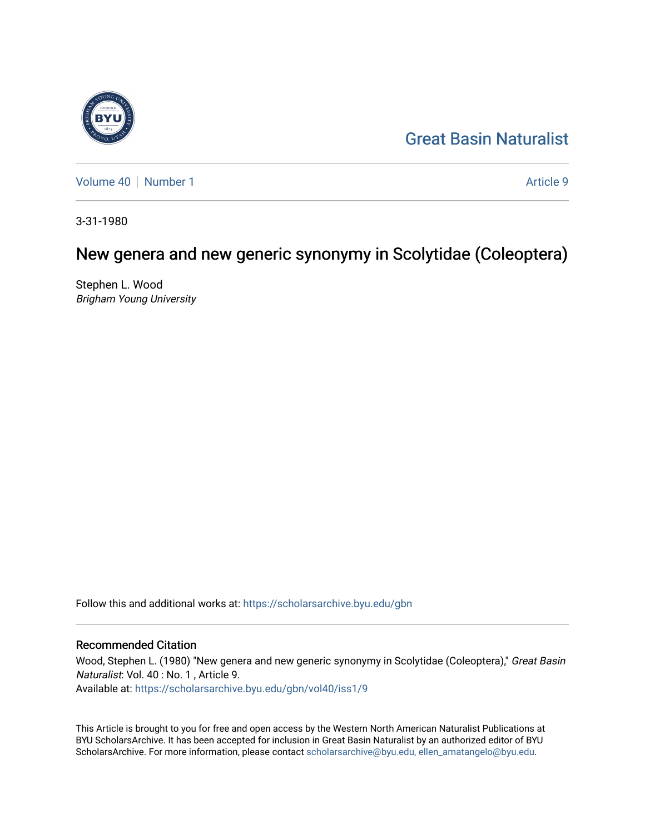# [Great Basin Naturalist](https://scholarsarchive.byu.edu/gbn)

[Volume 40](https://scholarsarchive.byu.edu/gbn/vol40) [Number 1](https://scholarsarchive.byu.edu/gbn/vol40/iss1) Article 9

3-31-1980

# New genera and new generic synonymy in Scolytidae (Coleoptera)

Stephen L. Wood Brigham Young University

Follow this and additional works at: [https://scholarsarchive.byu.edu/gbn](https://scholarsarchive.byu.edu/gbn?utm_source=scholarsarchive.byu.edu%2Fgbn%2Fvol40%2Fiss1%2F9&utm_medium=PDF&utm_campaign=PDFCoverPages) 

### Recommended Citation

Wood, Stephen L. (1980) "New genera and new generic synonymy in Scolytidae (Coleoptera)," Great Basin Naturalist: Vol. 40 : No. 1 , Article 9. Available at: [https://scholarsarchive.byu.edu/gbn/vol40/iss1/9](https://scholarsarchive.byu.edu/gbn/vol40/iss1/9?utm_source=scholarsarchive.byu.edu%2Fgbn%2Fvol40%2Fiss1%2F9&utm_medium=PDF&utm_campaign=PDFCoverPages)

This Article is brought to you for free and open access by the Western North American Naturalist Publications at BYU ScholarsArchive. It has been accepted for inclusion in Great Basin Naturalist by an authorized editor of BYU ScholarsArchive. For more information, please contact [scholarsarchive@byu.edu, ellen\\_amatangelo@byu.edu.](mailto:scholarsarchive@byu.edu,%20ellen_amatangelo@byu.edu)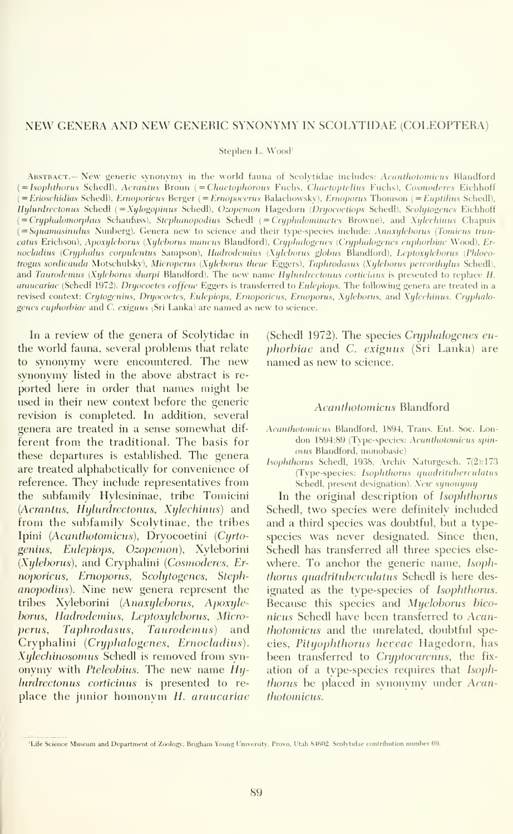### NEW GENERA AND NEW GENERIC SYNONYMY IN SCOLYTIDAE (COLEOPTERA)

Stephen L. Wood'

ABSTRACT.— New generic synonymy in the world fauna of Scolytidae includes: Acanthotomicus Blandford (= Isophthorus Schedl), Acrantus Broun (= Chaetophorous Fuchs, Chaetoptelius Fuchs), Cosmoderes Eichhoff  $({=Erioschidias\,Schedl}),$  Ernoporicus Berger ( $={Enopocerus\,Balachowsky}),$  Ernoporus Thomson ( $={Euptilius\,Schedl}),$ Hylurdrectonus Schedl (= Xylogopinus Schedl), Ozopemon Hagedorn (Dryocoetiops Schedl), Scolytogenes Eichhoff  $( = Cryptalomorphus$  Schaufuss), Stephanopodius Schedl  $( = Cryptalomimutes$  Browne), and Xylechinus Chapuis (= Squamasinulus Nunberg). Genera new to science and their type-species include: Anaxylchorus (Tomicus truncatus Erichson), Apoxyleborus (Xyleborus mancus Blandford), Cryphalogenes (Cryphalogenes euphorbiae Wood), Ernocladius (Cryphalus corpulentus Sampson), Hadrodemius (Xyleborus globus Blandford), Leptoxyleborus (Phloeotrogus sordicauda Motschulsky), Microperus (Xyleborus theae Eggers), Taphrodasus (Xyleborus percorthylus Schedl), and Taurodemus (Xyleborus sharpi Blandford). The new name Hylurdrectonus corticiaus is presented to replace H. araucariae (Schedl 1972). Dryocoetes coffeae Eggers is transferred to Eulepiops. The following genera are treated in a revised context: Crytogenius, Dryocoetes, Eulepiops, Ernoporicus, Ernoporus, Xyleborus, and Xylechinus. Cryphalogenes euphorbiae and C. exiguus (Sri Lanka) are named as new to science.

In a review of the genera of Scolytidae in the world fauna, several problems that relate to synonymy were encountered. The new svnonvmv listed in the above abstract is re ported here in order that names might be used in their new context before the generic revision is completed. In addition, several genera are treated in a sense somewhat dif ferent from the traditional. The basis for these departures is established. The genera are treated alphabetically for convenience of reference. They include representatives from the subfamily Hylesininae, tribe Tomicini (Acrantus, Hylurdrectonus, Xylechinus) and from the subfamily Scolytinae, the tribes Ipini (Acanthotomicus), Dryocoetini (Cyrtogenitis, Eulepiops, Ozopemon), Xyleborini (Xyleborus), and Cryphalini {Cosmoderes, Ernoporictis, Ernoporus, Scolytogenes, Stephanopodius). Nine new genera represent the tribes Xyleborini {Anoxyleborus, Apoxyleborus, Hadrodcmius, Leptoxyleborus, Microperus, Taphrodasus, Taurodemus) and Cryphalini (Cryphalogenes, Ernocladius). Xylechinosomus Schedl is removed from syn onymy with Pteleobius. The new name Hyhirdrectonus corticinus is presented to re place the junior homonym H. araucariae

(Schedl 1972). The species Cryphalogenes eu phorbiae and C. exiguus (Sri Lanka) are named as new to science.

#### Acanthotornicus Blandford

- Acanthotornicus Blandford, 1894, Trans. Ent. Soc. Lon don 1894:89 (Type-species: Acanthotomicus spinosus Blandford, monobasic)
- Isophthorus Schedl, 1938, Archiv Naturgesch. 7(2): 173 (Type-species: Isophthorus quadrituberculatus Schedl, present designation). New synonymy

In the original description of Isophthorus Schedl, two species were definitely included and a third species was doubtful, but a typespecies was never designated. Since then, Schedl has transferred all three species else where. To anchor the generic name, Isophthorus quadrituberculatus Schedl is here designated as the type-species of Isophthorus. Because this species and Myeloborus bico nicus Schedl have been transferred to Acanthotomicus and the unrelated, doubtful species, Pityophthorus heteae Hagedorn, has been transferred to Cryptocarenus, the fixation of a type-species requires that Isoph*thorus* be placed in synonymy under *Acan*thotornicus.

<sup>&#</sup>x27;Life Science Museum and Department of Zoology. Brigham Young University. Provo. Utah 84602. Scolytidae contribution number 69.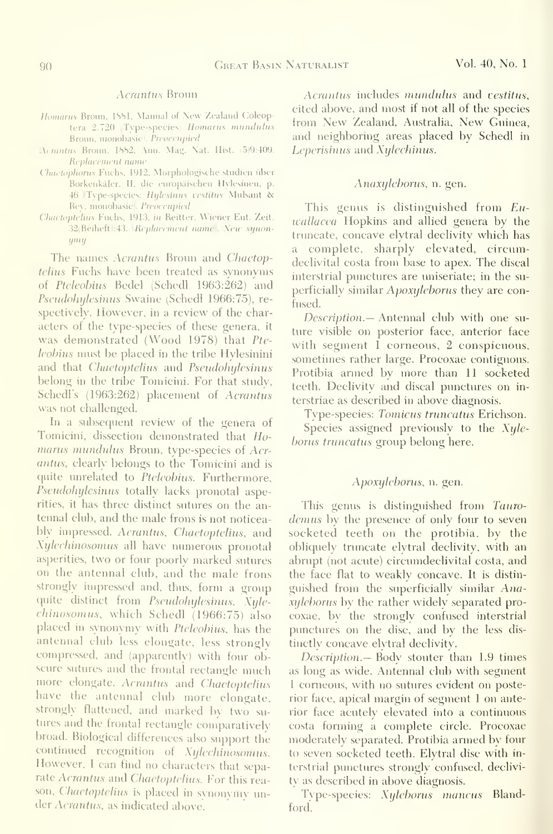#### Acrantus Broun

- Homarus Broun, 1881, Manual of New Zealand Coleoptera 2.720 (Type-species: Homarus mundulus Broim, monobasic). Preoccupied
- Acrantus Broun, 1882, Ann. Mag. Nat. Hist. (5)9:409. Replacement name
- Chaetophorus Fuchs, 1912, Morphologische studien iiber Borkenkafer, II. die europiiischen Hyiesinen, p. 46 Type-species: Hylesinus vestitus Mulsant & Re\', monobasic). Preoccupied
- Chaetoptelius Fuchs, 1913, in Reitter, Wiener Eut. Zeit. 32(Beiheft):43. Replacement name . New synon-!/'"!/

The names Acrantus Broun and Chaetoptelius Fuchs have been treated as synonyms of Pteleobius Bedel (Schedl 1963:262) and Pseudohijlesinus Swaine (Schedl 1966:75), re spectively. However, in a review of the characters of the type-species of these genera, it was demonstrated (Wood 1978) that Pte leobius must be placed in the tribe Hylesinini and that *Chaetoptelius* and *Pseudohylesinus* belong in the tribe Tomicini. For that study, Schedl's (1963:262) placement of Acrantus was not challenged.

In a subsequent review of the genera of Tomicini, dissection demonstrated that Homarus mundulus Broun, type-species of Acrantus, clearly belongs to the Tomicini and is quite unrelated to Pteleobius. Furthermore, Pseudohylesinus totally lacks pronotal asperities, it has three distinct sutures on the antennal club, and the male frons is not noticeably impressed. Acrantus, Chaetoptelius, and Xijlechinosomus all have numerous pronotal asperities, two or four poorly marked sutures on the antennal club, and the male frons strongly impressed and, thus, form a group quite distinct from Pseudohylesinus. Xylechinosomus, which Schedl (1966:75) also placed in synonymy with Pteleobius, has the antennal club less elongate, less strongly compressed, and (apparently) with four ob scure sutures and the frontal rectangle much more elongate. Acrantus and Chaetoptelius have the antennal club more elongate, strongly flattened, and marked by two su tures and the frontal rectangle comparatively broad. Biological differences also support the continued recognition of Xylechinosomus. However, <sup>I</sup> can find no characters that separate Acrantus and Chaetoptelius. For this reason, Chaetoptelius is placed in synonymy under Acrantus, as indicated above.

Acrantus includes mundulus and vestitus, cited above, and most if not all of the species from New Zealand, Australia, New Guinea, and neighboring areas placed by Schedl in Leperisinus and Xijlechinus.

#### Anaxyleborus, n. gen.

This genus is distinguished from  $Eu$ wallacea Hopkins and allied genera by the truncate, concave elytral declivity which has a complete, sharply elevated, circumdeclivital costa from base to apex. The discal interstrial punctures are uniseriate; in the su perficially similar Apoxyleborus they are confused.

Description.— Antennal club with one suture visible on posterior face, anterior face with segment 1 corneous, 2 conspicuous, sometimes rather large. Procoxae contiguous. Protibia armed by more than 11 socketed teeth. Declivity and discal punctures on in terstriae as described in above diagnosis.

Type-species: Tomicus truncatus Erichson. Species assigned previously to the  $Xyle$ borus truncatus group belong here.

#### Apoxyleborus, n. gen.

This genus is distinguished from Taurodemus by the presence of only four to seven socketed teeth on the protibia, by the obliquely truncate elytral declivity, with an abrupt (not acute) circumdeclivital costa, and the face flat to weakly concave. It is distin guished from the superficially similar  $Ana$ xyleborus by the rather widely separated procoxae, by the strongly confused interstrial punctures on the disc, and by the less dis tinctly concave elytral declivity.

Description.— Body stouter than 1.9 times as long as wide. Antennal club with segment <sup>1</sup> corneous, with no sutures evident on posterior face, apical margin of segment <sup>1</sup> on anterior face acutely elevated into a continuous costa forming a complete circle. Procoxae moderately separated. Protibia armed by four to seven socketed teeth. Elytral disc with in terstrial punctures strongly confused, declivity as described in above diagnosis.

Tvpe-species: Xijleborus mancus Blandford.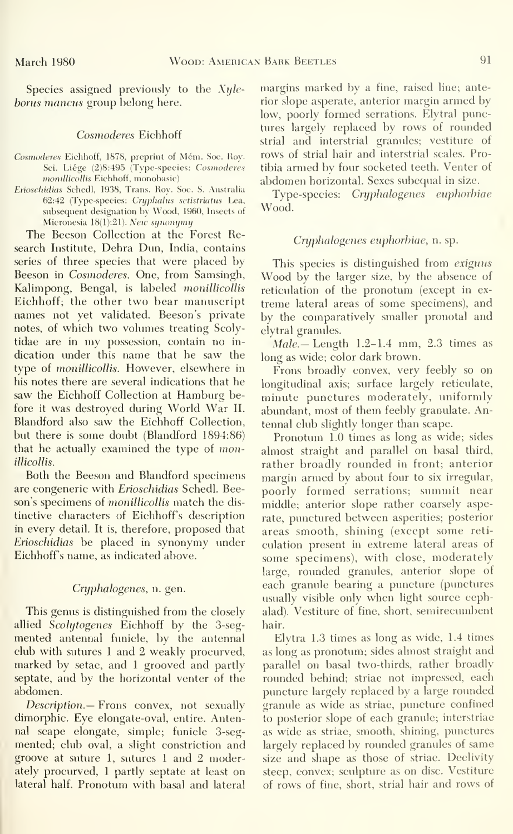Species assigned previously to the Xyleborus mancus group belong here.

#### Cosmoderes Eichhoff

- Cosmoderes Eichhoff, 1878, preprint of Mém. Soc. Roy. Sci. Liége (2)8:495 (Type-species: Cosmoderes monillicollis Eichhoff, monobasic)
- Erioschidias Schedl, 1938, Trans. Roy. Soc. S. Austraha  $62:42$  (Type-species: Cryphalus sctistriatus Lea, subsequent designation by Wood, 1960, Insects of Micronesia  $18(1):21$ ). New synonymy

The Beeson Collection at the Forest Research Institute, Dehra Dim, India, contains series of three species that were placed by Beeson in Cosmoderes. One, from Samsingh, Kalimpong, Bengal, is labeled monillicollis Eichhoff; the other two bear manuscript names not yet validated. Beeson 's private notes, of which two volumes treating Scolytidae are in my possession, contain no in dication under this name that he saw the type of *monillicollis*. However, elsewhere in his notes there are several indications that he saw the Eichhoff Collection at Hamburg before it was destroyed during World War II. Blandford also saw the Eichhoff Collection, but there is some doubt (Blandford 1894:86) that he actually examined the type of monillicollis.

Both the Beeson and Blandford specimens are congeneric with Erioschidias Schedl. Beeson's specimens of *monillicollis* match the distinctive characters of Eichhoff's description in every detail. It is, therefore, proposed that Erioschidias be placed in synonymy under Eichhoff's name, as indicated above.

#### Cryplialogenes, n. gen.

This genus is distinguished from the closely allied Scolytogenes Eichhoff by the 3-segmented antennal funicle, by the antennal club with sutures <sup>1</sup> and 2 weakly procurved, marked by setae, and 1 grooved and partly septate, and by the horizontal venter of the abdomen.

Description.— Frons convex, not sexually dimorphic. Eye elongate-oval, entire. Antennal scape elongate, simple; fimicle 3-segmented; club oval, a slight constriction and groove at suture 1, sutures <sup>1</sup> and 2 moderately procurved, 1 partly septate at least on lateral half. Pronotum with basal and lateral

margins marked by a fine, raised line; anterior slope asperate, anterior margin armed by low, poorly formed serrations. Elytral punctures largely replaced by rows of rounded strial and interstrial granules; vestiture of rows of strial hair and interstrial scales. Protibia armed by four socketed teeth. Venter of abdomen horizontal. Sexes subequal in size.

Type-species: Cryphalogenes euphorbiae Wood.

#### Cryphalogenes euphorbiae, n. sp.

This species is distinguished from exiguus Wood by the larger size, by the absence of reticulation of the pronotum (except in ex treme lateral areas of some specimens), and by the comparatively smaller pronotal and elytral granules.

 $Male$  Length 1.2-1.4 mm, 2.3 times as long as wide; color dark brown.

Frons broadly convex, very feebly so on longitudinal axis; surface largely reticulate, minute punctures moderately, uniformly abundant, most of them feebly granulate. Antennal club slightly longer than scape.

Pronotum 1.0 times as long as wide; sides almost straight and parallel on basal third, rather broadly rounded in front; anterior margin armed by about four to six irregular, poorly formed serrations; summit near middle; anterior slope rather coarsely asperate, punctured between asperities; posterior areas smooth, shining (except some reti culation present in extreme lateral areas of some specimens), with close, moderately large, rounded granules, anterior slope of each granule bearing a puncture (punctures usually visible only when light source cephalad). Vestiture of fine, short, semirecumbent hair.

Elytra 1.3 times as long as wide, 1.4 times as long as pronotum; sides almost straight and parallel on basal two-thirds, rather broadly rounded behind; striae not impressed, each puncture largely replaced by a large rounded granule as wide as striae, puncture confined to posterior slope of each granule; interstriae as wide as striae, smooth, shining, punctures largely replaced by rounded granules of same size and shape as those of striae. Declivity steep, convex; sculpture as on disc. Vestiture of rows of fine, short, strial hair and rows of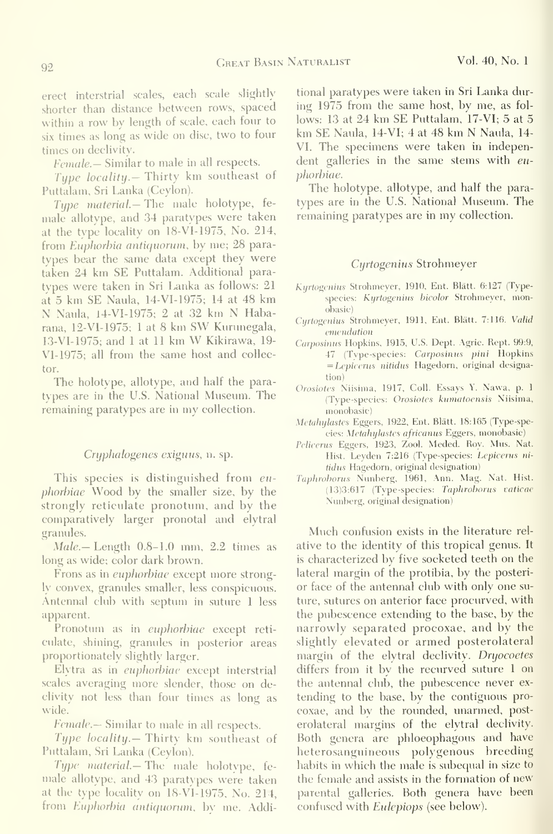erect interstrial scales, each scale slightly shorter than distance between rows, spaced within a row by length of scale, each four to six times as long as wide on disc, two to four times on declivity.

Female. – Similar to male in all respects.

Type locality. Thirty km southeast of Puttalam, Sri Lanka (Ceylon).

Type material— The male holotype, fe male allotype, and 34 paratypes were taken at the type locality on 18-VI-1975, No. 214, from Euphorbia antiquorum, by me; 28 paratypes bear the same data except they were taken 24 km SE Puttalam. Additional paratvpes were taken in Sri Lanka as follows: 21 at 5 km SE Naula, 14-VI-1975; 14 at 48 km N Naula, 14-VI-1975; <sup>2</sup> at <sup>32</sup> km N Habarana, 12-VI-1975; <sup>1</sup> at <sup>8</sup> km SW Kurunegala, 13-VI-1975; and <sup>1</sup> at <sup>11</sup> km W Kikirawa, 19- VL1975; all from the same host and collector.

The holotype, allotype, and half the paratypes are in the U.S. National Museum. The remaining paratypes are in my collection.

#### Cryphalogenes exiguus, n. sp.

This species is distinguished from euphorhiae Wood by the smaller size, by the strongly reticulate pronotum, and by the comparatively larger pronotal and elytral granules.

 $Male$  – Length  $0.8$ –1.0 mm,  $2.2$  times as long as wide; color dark brown.

Frons as in euphorbiae except more strongly convex, granules smaller, less conspicuous. Antennal club with septum in suture <sup>1</sup> less apparent.

Pronotum as in *euphorbiae* except reticulate, shining, granules in posterior areas proportionately slightly larger.

Elytra as in euphorbiae except interstrial scales averaging more slender, those on declivity not less than four times as long as wide.

Female.— Similar to male in all respects.

Type locality.— Thirty km southeast of Puttalam, Sri Lanka (Ceylon).

Type material.— The male holotype, female allotype, and 43 paratypes were taken at the type locality on 18-VI-1975, No. 214, from Euphorbia antiquorum, by me. Additional paratypes were taken in Sri Lanka during 1975 from the same host, by me, as fol lows: <sup>13</sup> at 24 km SE Puttalam, 17-VI; 5 at 5 km SE Naula, 14-VI; <sup>4</sup> at 48 km N Naula, 14- VI. The specimens were taken in independent galleries in the same stems with *eu*pliorbiae.

The holotype, allotype, and half the para types are in the U.S. National Museum. The remaining paratypes are in my collection.

#### Cyrtogenius Strohmeyer

- Kurtogenius Strohmeyer, 1910, Ent. Blätt. 6:127 (Typespecies: Kyrtogenius bicolor Strohmeyer, monobasic)
- Cyrtogenius Strohmeyer, 1911, Ent. Blätt. 7:116. Valid emendation
- Carposinus Hopkins, 1915, U.S. Dept. Agric. Rept. 99:9, 47 (Type-species: Carposinus pini Hopkins = Lepicenis nitidus Hagedorn, original designation)
- Orosiotes Niisima, 1917, Coll. Essays Y. Nawa, p. <sup>1</sup> (Type-species: Orosiotes kumatoensis Niisima, monobasic)
- Metahylastes Eggers, 1922, Ent. Blätt. 18:165 (Type-species: Metahylastes africanus Eggers, monobasic)
- Pelicenis Eggers, 1923, Zool. Meded. Roy. Mus. Nat. Hist. Leyden 7:216 (Type-species: Lepicerus ni tidus Hagedorn, original designation)
- Taphrohorus Nunberg, 1961, Ann. Mag. Nat. Hist. (13)3:617 (Type-species: Taphrohorus vaticae Nunberg, original designation)

Much confusion exists in the literature rel ative to the identity of this tropical genus. It is characterized by five socketed teeth on the lateral margin of the protibia, by the posteri or face of the antennal club with only one su ture, sutures on anterior face procurved, with the pubescence extending to the base, by the narrowly separated procoxae, and by the slightly elevated or armed posterolateral margin of the elytral declivity. Dryocoetes differs from it by the recurved suture <sup>1</sup> on the antennal club, the pubescence never ex tending to the base, by the contiguous pro coxae, and by the rounded, unarmed, post erolateral margins of the elytral declivity. Both genera are phloeophagous and have heterosanguineous polygenous breeding habits in which the male is subequal in size to the female and assists in the formation of new parental galleries. Both genera have been confused with *Eulepiops* (see below).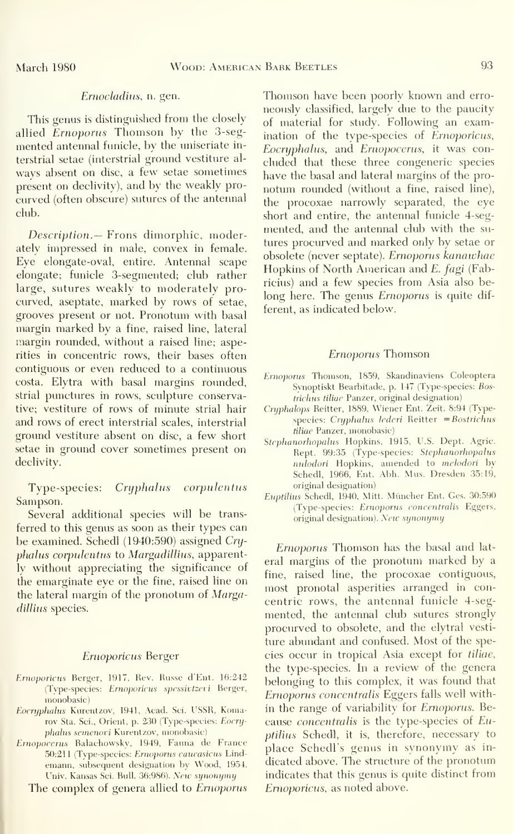#### Ernocladiiis, n. gen.

This genus is distinguished from the closely allied Ernoporus Thomson by the 3-segmented antennal funicle, by the uniseriate interstrial setae (interstrial ground vestiture al ways absent on disc, a few setae sometimes present on declivity), and by the weakly pro curved (often obscure) sutures of the antennal club.

Description.— Frons dimorphic, moderatelv impressed in male, convex in female. Eye elongate-oval, entire. Antennal scape elongate; funicle 3-segmented; club rather large, sutures weakly to moderately procurved, aseptate, marked by rows of setae, grooves present or not. Pronotum with basal margin marked by a fine, raised line, lateral margin rounded, without a raised line; asperities in concentric rows, their bases often contiguous or even reduced to a continuous costa. Elytra with basal margins rounded, strial punctures in rows, sculpture conservative; vestiture of rows of minute strial hair and rows of erect interstrial scales, interstrial ground vestiture absent on disc, a few short setae in ground cover sometimes present on declivity.

Type-species: Cryphalus corpulentus Sampson.

Several additional species will be trans ferred to this genus as soon as their types can be examined. Schedl (1940:590) assigned Cryphalus corpulentus to Margadillius, apparently without appreciating the significance of the emarginate eye or the fine, raised line on the lateral margin of the pronotum of Margadillius species.

#### Ernoporicus Berger

- Ernoporicus Berger, 1917, Rev. Russc d'Ent. 16:242 (Tvpe-species: Ernoporicus spessivtzevi Berger, monobasic)
- Eocryphalus Kurentzov, 1941, Acad. Sci. USSR, Komarov Sta. Sci., Orient, p. 230 (Type-species: Eocnjphalus semenovi Kurentzov, monobasic)
- Ernopocerus Balachowsky, 1949, Fauna de France 50:211 (Type-species: Ernoporus caucasicus Lindemann, subsequent designation by Wood, 1954, Univ. Kansas Sei. Bull. 36:986). New synonymy

The complex of genera allied to Ernoporus

Thomson have been poorly known and erroneously classified, largely due to the paucity of material for study. Following an examination of the type-species of Ernoporicus, Eocryphalus, and Ernopocerus, it was con cluded that these three congeneric species have the basal and lateral margins of the pronottun rounded (without a fine, raised line), the procoxae narrowly separated, the eye short and entire, the antennal funicle 4-segmented, and the antennal club with the su tures procurved and marked only by setae or obsolete (never septate). Ernoporus kanawhae Hopkins of North American and E. fagi (Fabricius) and a few species from Asia also belong here. The genus Ernoporus is quite dif ferent, as indicated below.

#### Ernoporus Thomson

- Ernoporus Thomson, 1859, Skandinaviens Coleoptera Svnoptiskt Bearbitade, p. 147 (Type-species: Bos $trichus tiliae$  Panzer, original designation)
- Cryphalops Reitter, 1889, Wiener Ent. Zeit. 8:94 (Typespecies: Cryphalus lederi Reitter  $=$  Bostrichus tiliae Panzer, monobasic)
- Stephanorhopalus Hopkins, 1915, U.S. Dept. Agrie. Rept. 99:35 (Type-species: Stephanorhopalus nulodori Hopkins, amended to melodori by Schedl, 1966, Ent. Abh. Mus. Dresden 35:19, original designation)
- Euptilius Schedl, 1940, Mitt. Müncher Ent. Ges. 30:590 (Type-species: Ernoporus concentralis Eggers, original designation). New synonymy

Ernoporus Thomson has the basal and lat eral margins of the pronotum marked by a fine, raised line, the procoxae contiguous, most pronotal asperities arranged in concentric rows, the antennal funicle 4-segmented, the antennal club sutures strongly procurved to obsolete, and the elytral vesti ture abundant and confused. Most of the species occur in tropical Asia except for tiliae, the type-species. In a review of the genera belonging to this complex, it was found that Ernoporus concentralis Eggers falls well within the range of variability for Ernoporus. Because concentralis is the type-species of Euptilius Schedl, it is, therefore, necessary to place Schedl's genus in synonymy as in dicated above. The structure of the pronotum indicates that this genus is quite distinct from Ernoporicus, as noted above.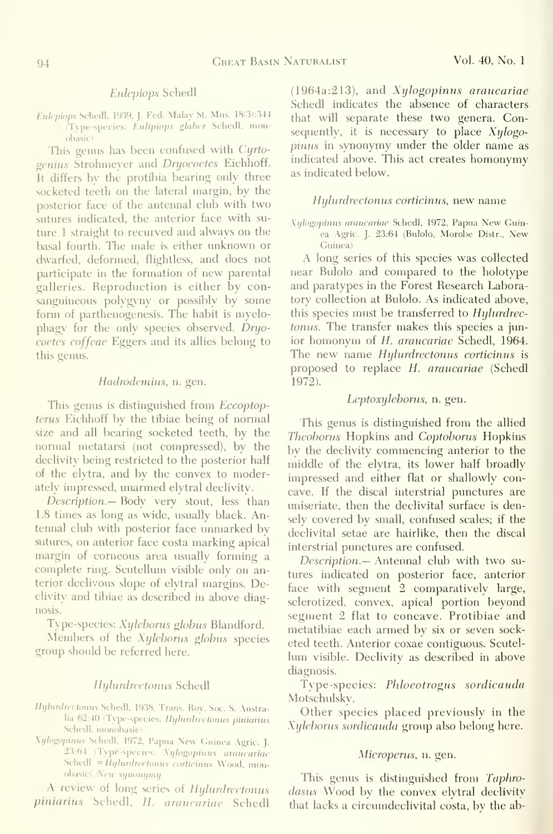#### Eulepiops Schedl

Eulepiops Schedl, 1939, J. Fed. Malay St. Mus. 18(3):344 Type-species: Eulipiops glaber Schedl, monobasic)

This genus has been confused with Cyrtogenius Strohmeyer and Dryocoetes Eichhoff. It differs by the protibia bearing only three socketed teeth on the lateral margin, by the posterior face of the antennal club with two sutures indicated, the anterior face with su ture <sup>1</sup> straight to recurved and always on the basal fourth. The male is either unknown or dwarfed, deformed, flightless, and does not participate in the formation of new parental galleries. Reproduction is either by consanguineous polygyny or possibly by some form of parthenogenesis. The habit is myelophagy for the only species observed. Dryocoetes coffeae Eggers and its allies belong to this genus.

### Hadrodemius, n. gen.

This genus is distinguished from Eccoptop tems Eichhoff by the tibiae being of normal size and all bearing socketed teeth, by the normal metatarsi (not compressed), by the declivity being restricted to the posterior half of the elytra, and by the convex to moderately impressed, unarmed elytral declivity.

Description.— Body very stout, less than 1.8 times as long as wide, usually black. Antennal club with posterior face unmarked by sutures, on anterior face costa marking apical margin of corneous area usually forming a complete ring. Scutellum visible only on anterior declivous slope of elytral margins. Declivity and tibiae as described in above diagnosis.

Type-species: Xyleborus globus Blandford.

Members of the Xyleborus globus species group should be referred here.

#### Hylurdrectonus Schedl

- Hylurdrectonus Schedl, 1938, Trans. Roy. Soc. S. Australia 62:40 (Type-species: Hylurdrectonus piniarius Schedl, monobasic)
- Xylogopinus Schedl, 1972, Papua New Guinea Agric. J. 23:64 (Type-species: Xylogopinus araucariae Schedl = Hylurdrectonus corticinus Wood, monobasic). New synonymy

A review of long series of Hylurdrectonus piniarius Schedl, H. araucariae Schedl

(1964a:213), and Xylogopinus araucariae Schedl indicates the absence of characters that will separate these two genera. Consequently, it is necessary to place  $Xylogo$ pinus in synonymy under the older name as indicated above. This act creates homonymy as indicated below.

#### Hylurdrectonus corticinus, new name

Xillogopinus araucariae Schedl, 1972, Papua New Guinea Agric. J. 23:64 (Bulolo, Morobe Distr., New Guinea)

A long series of this species was collected near Bulolo and compared to the holotype and paratypes in the Forest Research Laboratory collection at Bulolo. As indicated above, this species must be transferred to Hylurdrectonus. The transfer makes this species a junior homonym of H. araucariae Schedl, 1964. The new name *Hylurdrectonus corticinus* is proposed to replace H. araucariae (Schedl 1972).

#### Leptoxyleborus, n. gen.

This genus is distinguished from the allied Theoborus Hopkins and Coptoborus Hopkins by the declivity commencing anterior to the middle of the elytra, its lower half broadly impressed and either flat or shallowly concave. If the discal interstrial punctures are uniseriate, then the declivital surface is densely covered by small, confused scales; if the declivital setae are hairlike, then the discal interstrial punctures are confused.

Description.— Antennal club with two su tures indicated on posterior face, anterior face with segment 2 comparatively large, sclerotized, convex, apical portion beyond segment 2 flat to concave. Protibiae and metatibiae each armed by six or seven sock eted teeth. Anterior coxae contiguous. Scutel lum visible. Declivity as described in above diagnosis.

Type-species: Phloeotrogus sordicauda Motschulsky.

Other species placed previously in the Xyleborus sordicauda group also belong here.

#### Microperus, n. gen.

This genus is distinguished from Taphrodasus Wood by the convex elytral declivity that lacks a circumdeclivital costa, by the ab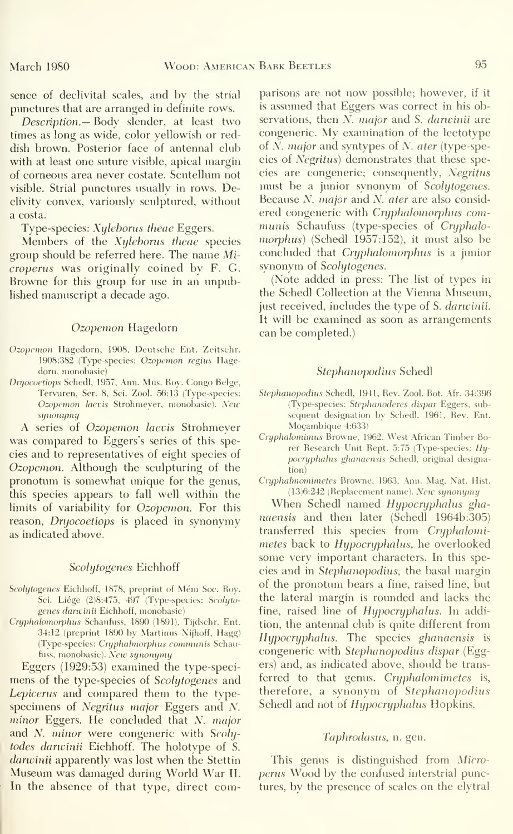sence of declivital scales, and by the strial pimctures that are arranged in definite rows.

Description.— Body slender, at least two times as long as wide, color yellowish or reddish brown. Posterior face of antennal club with at least one suture visible, apical margin of corneous area never costate. Scutellum not visible. Strial punctures usually in rows. Declivity convex, variously sculptured, without a costa.

Type-species: Xyleborus theae Eggers.

Members of the Xyleborus theae species group should be referred here. The name Micropenis was originally coined by F. G. Browne for this group for use in an unpublished manuscript a decade ago.

#### Ozopemon Hagedorn

- Ozopcmon Hagedorn, 1908, Deutsche Ent. Zeitschr. 1908:382 (Type-species: Ozopemon regius Hagedorn, monobasic)
- Dryocoetiops Schedl, 1957, Ann. Mus. Roy. Congo Beige, Tervuren, Ser. 8, Sci. Zool. 56:13 (Type-species: Ozopemon laevis Strohmeyer, monobasic). New sijnonymy

A series of Ozopemon laevis Strohmeyer was compared to Eggers's series of this species and to representatives of eight species of Ozopemon. Although the sculpturing of the pronotum is somewhat unique for the genus, this species appears to fall well within the limits of variability for Ozopemon. For this reason, Dryocoetiops is placed in synonymy as indicated above.

#### Scolytogenes Eichhoff

- Scolytogenes Eichhoff, 1878, preprint of Mém Soc. Roy. Sci. Liége (2)8:475, 497 (Type-species: Scolytogenes danvinii Eichhoff. monobasic)
- Cryphalomorphus Schaufuss, 1890 (1891), Tijdschr. Ent. 34:12 (preprint 1890 by Martinus N'ijhoff, Hagg) (Type-species: Cryphalmorphus communis Schaufuss, monobasic). New synonymy

Eggers (1929:53) examined the type-speci mens of the type-species of Scolytogenes and Lepicerus and compared them to the typespecimens of Negritus major Eggers and N. minor Eggers. He concluded that N. major and *N. minor* were congeneric with Scolytodes danvinii Eichhoff. The holotype of S. darwinii apparently was lost when the Stettin Museum was damaged during World War II. In the absence of that type, direct comparisons are not now possible; however, if it is assumed that Eggers was correct in his observations, then *N. major* and *S. darwinii* are congeneric. My examination of the lectotype of N. major and syntypes of N. ater (type-species of Negritus) demonstrates that these species are congeneric; consequently, Negritus must be a jimior synonym of Scolytogenes. Because N. major and N. ater are also considered congeneric with Cryphalomorphus communis Schaufuss (type-species of Cryphalomorphus) (Schedl 1957:152), it must also be concluded that Cryphalomorphus is a junior synonym of Scolytogenes.

(Note added in press: The list of types in the Schedl Collection at the Vienna Museum, just received, includes the type of S. darwinii. It will be examined as soon as arrangements can be completed.)

#### Stephanopodius Schedl

- Stephanopodius Schedl, 1941, Rev. Zool. Bot. Afr. 34:396 (Type-species: Stephanoderes dispar Eggers, sub sequent designation by Schedl, 1961, Rev. Ent. Moçambique 4:633)
- Cryphalomimus Browne, 1962, West African Timber Borer Research Unit Rept. 5:75 (Type-species: Hypocryphahts ghanaensis Schedl. original designation)
- Cryphalmomimetes Browne, 1963, Ann. Mag. Nat. Hist. (13)6:242 (Replacement name). New synonymy

When Schedl named Hypocryphalus ghanaensis and then later (Schedl 1964b:305) transferred this species from Cryphalomimetes back to Hypocryphalus, he overlooked some very important characters. In this species and in Stephanopodius, the basal margin of the pronotum bears a fine, raised line, but the lateral margin is rounded and lacks the fine, raised line of Hypocryphalus. In addition, the antennal club is quite different from Hypocryphalus. The species ghanaensis is congeneric with Stephanopodius dispar (Eggers) and, as indicated above, should be trans ferred to that genus. Cryphalomimetes is, therefore, a synonym of Stephanopodius Schedl and not of Hypocryphalus Hopkins.

#### Taphrodasus, n. gen.

This genus is distinguished from Microperus Wood by the confused interstrial punctures, by the presence of scales on the elytral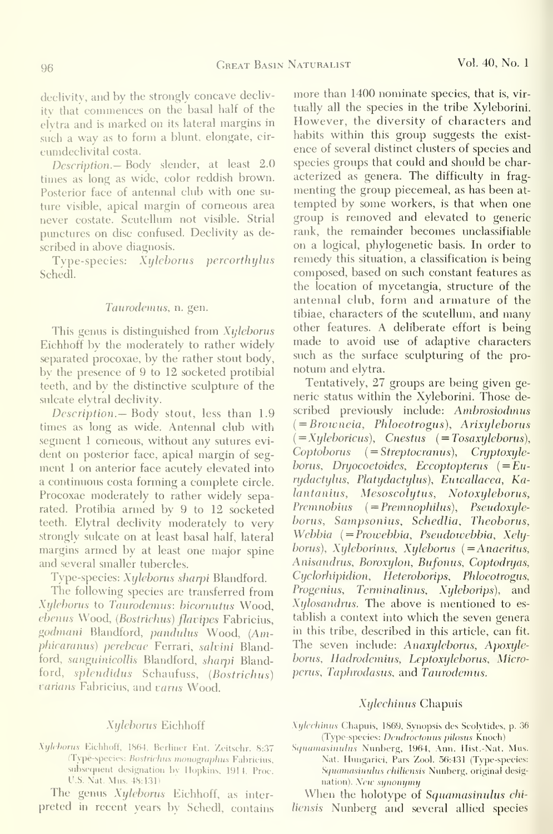declivity, and by the strongly concave declivity that commences on the basal half of the elytra and is marked on its lateral margins in such a way as to form a blunt, elongate, cir cumdeclivital costa.

Description.— Body slender, at least 2.0 times as long as wide, color reddish brown. Posterior face of antennal club with one su ture visible, apical margin of corneous area never costate. Scutellum not visible. Strial punctures on disc confused. Declivity as described in above diagnosis.

Type-species: Xylehorus percorthylus Schedl.

#### Taurodemus, n. gen.

This genus is distinguished from X*yleborus* Eichhoff by the moderately to rather widely separated procoxae, by the rather stout body, by the presence of 9 to 12 socketed protibial teeth, and by the distinctive sculpture of the sulcate elytral declivity.

Description.— Body stout, less than 1.9 times as long as wide. Antennal club with segment <sup>1</sup> corneous, without any sutures evi dent on posterior face, apical margin of seg ment <sup>1</sup> on anterior face acutely elevated into a continuous costa forming a complete circle. Procoxae moderately to rather widely separated. Protibia armed by 9 to 12 socketed teeth. Elytral declivity moderately to very strongly sulcate on at least basal half, lateral margins armed by at least one major spine and several smaller tubercles.

Type-species: Xyleborus sharpi Blandford.

The following species are transferred from Xylehorus to Taurodemus: bicornutus Wood, ebenus Wood, (Bostrichus) flavipes Fabricius, godmani Blandford, pandulus Wood, {Amphicaranus) perebeae Ferrari, salvini Blandford, sanguinicollis Blandford, sharpi Blandford, splendidus Schaufuss, (Bostrichus) varians Fabricius, and varus Wood.

#### Xyleborus Eichhoff

Xijleborus Eichhoff, 1864, Berliner Ent. Zeitschr. 8:37 (Type-species: Bostrichus monographus Fabricius, subsequent designation bv Hopkins. 1914, Proc. U.S. Nat. Mus. 48:131)

The genus Xyleborus Eichhoff, as inter preted in recent years by Schedl, contains more than 1400 nominate species, that is, virtually all the species in the tribe Xyleborini. However, the diversity of characters and habits within this group suggests the existence of several distinct clusters of species and species groups that could and should be char acterized as genera. The difficulty in fragmenting the group piecemeal, as has been at tempted by some workers, is that when one group is removed and elevated to generic rank, the remainder becomes unclassifiable on a logical, phylogenetic basis. In order to remedy this situation, a classification is being composed, based on such constant features as the location of mycetangia, structure of the antennal club, form and armature of the tibiae, characters of the scutellum, and many other features. A deliberate effort is being made to avoid use of adaptive characters such as the surface sculpturing of the pro notum and elytra.

Tentatively, 27 groups are being given ge neric status within the Xyleborini. Those de scribed previously include: Ambrosiodinus  $( = Brouneia, Phloeotrogus), Arixyleborus$  $($  = Xyleboricus), Cnestus  $($  = Tosaxyleborus), Coptoborus { = Streptocranus), Cryptoxyleborus, Dryocoetoides, Eccoptopterus  $(=Eu$ rydactylus, Platydactylus), Euwallacea, Kalantanius, Mesoscolytus, Notoxyleborus,  $Premnobius$   $( = Premnobilus)$ ,  $Pseudoxyle$ borus, Sampsonius, Schedlia, Theoborus, Webbia { = Prowebbia, Pseudowebbia, Xelyborus), Xyleborinus, Xyleborus {=Anaeritus, Anisandrus, Boroxylon, Bufonus, Coptodryas, Cyclorhipidion, Heteroborips, Phloeotrogus, Progenius, Terminalinus, Xyleborips), and Xylosandrus. The above is mentioned to es tablish a context into which the seven genera in this tribe, described in this article, can fit. The seven include: Anaxyleborus, Apoxyleborus, Hadrodemius, Leptoxyleborus, Micropenis, Taphrodasus, and Taurodemus.

#### Xylechinus Chapuis

- Xylechinus Chapuis, 1869, Synopsis des Scolvtides, p. 36 (Type-species: Dendroctonus pilosus Knoch)
- Squamasinuhis Nunberg, 1964, Ann. Hist. -Nat. Mus. Nat. Hungarici, Pars Zool. 56:431 (Type-species: Squamasinulus chiliensis Nunberg, original designation). New synonymy

When the holotype of Squamasinulus chiliensis Nunberg and several allied species